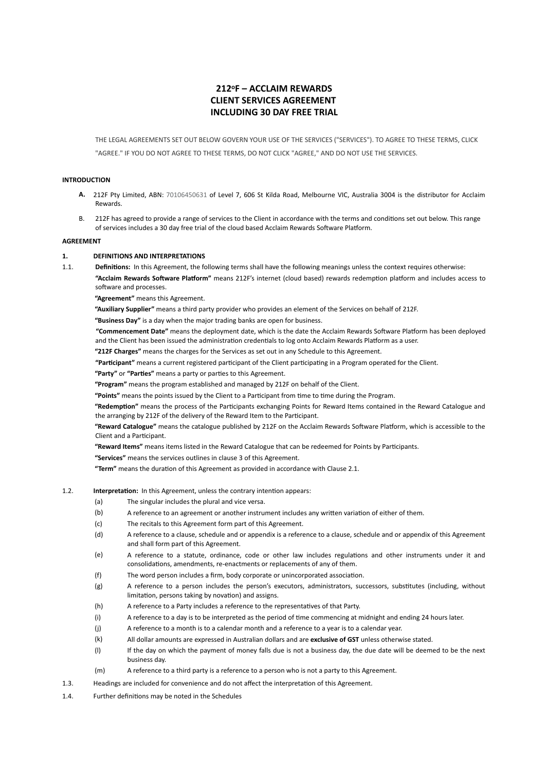# **212oF – ACCLAIM REWARDS CLIENT SERVICES AGREEMENT INCLUDING 30 DAY FREE TRIAL**

THE LEGAL AGREEMENTS SET OUT BELOW GOVERN YOUR USE OF THE SERVICES ("SERVICES"). TO AGREE TO THESE TERMS, CLICK "AGREE." IF YOU DO NOT AGREE TO THESE TERMS, DO NOT CLICK "AGREE," AND DO NOT USE THE SERVICES.

#### **INTRODUCTION**

- **A.** 212F Pty Limited, ABN: 70106450631 of Level 7, 606 St Kilda Road, Melbourne VIC, Australia 3004 is the distributor for Acclaim Rewards.
- B. 212F has agreed to provide a range of services to the Client in accordance with the terms and conditions set out below. This range of services includes a 30 day free trial of the cloud based Acclaim Rewards Software Platform.

#### **AGREEMENT**

### **1. DEFINITIONS AND INTERPRETATIONS**

1.1. **Definitions:** In this Agreement, the following terms shall have the following meanings unless the context requires otherwise: "Acclaim Rewards Software Platform" means 212F's internet (cloud based) rewards redemption platform and includes access to software and processes.

 **"Agreement"** means this Agreement.

 **"Auxiliary Supplier"** means a third party provider who provides an element of the Services on behalf of 212F.

 **"Business Day"** is a day when the major trading banks are open for business.

"Commencement Date" means the deployment date, which is the date the Acclaim Rewards Software Platform has been deployed and the Client has been issued the administration credentials to log onto Acclaim Rewards Platform as a user.

 **"212F Charges"** means the charges for the Services as set out in any Schedule to this Agreement.

"Participant" means a current registered participant of the Client participating in a Program operated for the Client.

"Party" or "Parties" means a party or parties to this Agreement.

 **"Program"** means the program established and managed by 212F on behalf of the Client.

"Points" means the points issued by the Client to a Participant from time to time during the Program.

"Redemption" means the process of the Participants exchanging Points for Reward Items contained in the Reward Catalogue and the arranging by 212F of the delivery of the Reward Item to the Participant.

"Reward Catalogue" means the catalogue published by 212F on the Acclaim Rewards Software Platform, which is accessible to the Client and a Participant.

"Reward Items" means items listed in the Reward Catalogue that can be redeemed for Points by Participants.

 **"Services"** means the services outlines in clause 3 of this Agreement.

"Term" means the duration of this Agreement as provided in accordance with Clause 2.1.

- 1.2. **Interpretation:** In this Agreement, unless the contrary intention appears:
	- (a) The singular includes the plural and vice versa.
	- (b) A reference to an agreement or another instrument includes any written variation of either of them.
	- (c) The recitals to this Agreement form part of this Agreement.
	- (d) A reference to a clause, schedule and or appendix is a reference to a clause, schedule and or appendix of this Agreement and shall form part of this Agreement.
	- (e) A reference to a statute, ordinance, code or other law includes regulations and other instruments under it and consolidations, amendments, re-enactments or replacements of any of them.
	- (f) The word person includes a firm, body corporate or unincorporated association.
	- (g) A reference to a person includes the person's executors, administrators, successors, substitutes (including, without limitation, persons taking by novation) and assigns.
	- (h) A reference to a Party includes a reference to the representatives of that Party.
	- (i) A reference to a day is to be interpreted as the period of time commencing at midnight and ending 24 hours later.
	- (j) A reference to a month is to a calendar month and a reference to a year is to a calendar year.
	- (k) All dollar amounts are expressed in Australian dollars and are **exclusive of GST** unless otherwise stated.
	- (l) If the day on which the payment of money falls due is not a business day, the due date will be deemed to be the next business day.
	- (m) A reference to a third party is a reference to a person who is not a party to this Agreement.
- 1.3. Headings are included for convenience and do not affect the interpretation of this Agreement.
- 1.4. Further definitions may be noted in the Schedules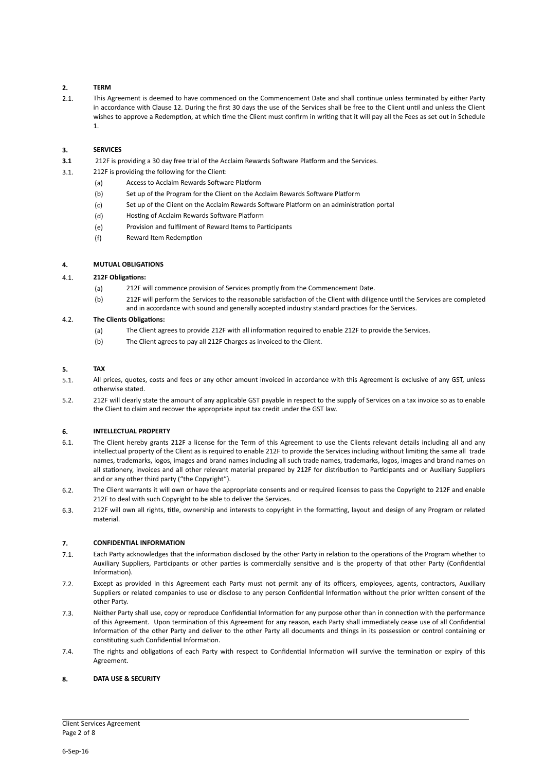# **2. TERM**

2.1. This Agreement is deemed to have commenced on the Commencement Date and shall continue unless terminated by either Party in accordance with Clause 12. During the first 30 days the use of the Services shall be free to the Client until and unless the Client wishes to approve a Redemption, at which time the Client must confirm in writing that it will pay all the Fees as set out in Schedule 1.

# **3. SERVICES**

- **3.1** 212F is providing a 30 day free trial of the Acclaim Rewards Software Platform and the Services.
- 3.1. 212F is providing the following for the Client:
	- (a) Access to Acclaim Rewards Software Platform
	- (b) Set up of the Program for the Client on the Acclaim Rewards Software Platform
	- (c) Set up of the Client on the Acclaim Rewards Software Platform on an administration portal
	- (d) Hosting of Acclaim Rewards Software Platform
	- (e) Provision and fulfilment of Reward Items to Participants
	- (f) Reward Item Redemption

# **4. MUTUAL OBLIGATIONS**

### 4.1. **212F Obliga@ons:**

- (a) 212F will commence provision of Services promptly from the Commencement Date.
- (b) 212F will perform the Services to the reasonable satisfaction of the Client with diligence until the Services are completed and in accordance with sound and generally accepted industry standard practices for the Services.

### 4.2. **The Clients Obligations:**

- (a) The Client agrees to provide 212F with all information required to enable 212F to provide the Services.
- (b) The Client agrees to pay all 212F Charges as invoiced to the Client.

### **5. TAX**

- 5.1. All prices, quotes, costs and fees or any other amount invoiced in accordance with this Agreement is exclusive of any GST, unless otherwise stated.
- 5.2. 212F will clearly state the amount of any applicable GST payable in respect to the supply of Services on a tax invoice so as to enable the Client to claim and recover the appropriate input tax credit under the GST law.

# **6. INTELLECTUAL PROPERTY**

- 6.1. The Client hereby grants 212F a license for the Term of this Agreement to use the Clients relevant details including all and any intellectual property of the Client as is required to enable 212F to provide the Services including without limiting the same all trade names, trademarks, logos, images and brand names including all such trade names, trademarks, logos, images and brand names on all stationery, invoices and all other relevant material prepared by 212F for distribution to Participants and or Auxiliary Suppliers and or any other third party ("the Copyright").
- 6.2. The Client warrants it will own or have the appropriate consents and or required licenses to pass the Copyright to 212F and enable 212F to deal with such Copyright to be able to deliver the Services.
- 6.3. 212F will own all rights, title, ownership and interests to copyright in the formatting, layout and design of any Program or related material.

# **7. CONFIDENTIAL INFORMATION**

- 7.1. Each Party acknowledges that the information disclosed by the other Party in relation to the operations of the Program whether to Auxiliary Suppliers, Participants or other parties is commercially sensitive and is the property of that other Party (Confidential Information).
- 7.2. Except as provided in this Agreement each Party must not permit any of its officers, employees, agents, contractors, Auxiliary Suppliers or related companies to use or disclose to any person Confidential Information without the prior written consent of the other Party.
- 7.3. Neither Party shall use, copy or reproduce Confidential Information for any purpose other than in connection with the performance of this Agreement. Upon termination of this Agreement for any reason, each Party shall immediately cease use of all Confidential Information of the other Party and deliver to the other Party all documents and things in its possession or control containing or constituting such Confidential Information.
- 7.4. The rights and obligations of each Party with respect to Confidential Information will survive the termination or expiry of this Agreement.

#### **8. DATA USE & SECURITY**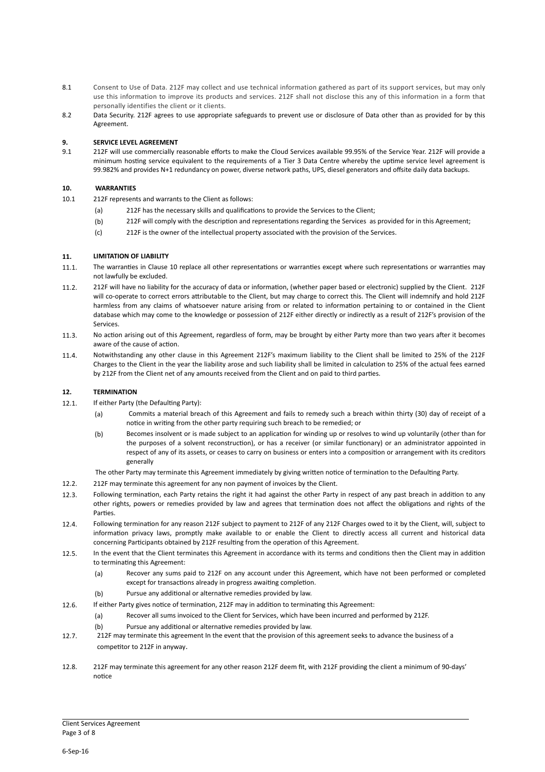- 8.1Consent to Use of Data. 212F may collect and use technical information gathered as part of its support services, but may only use this information to improve its products and services. 212F shall not disclose this any of this information in a form that personally identifies the client or it clients.
- 8.2 Data Security. 212F agrees to use appropriate safeguards to prevent use or disclosure of Data other than as provided for by this Agreement.

### **9. SERVICE LEVEL AGREEMENT**

9.1 212F will use commercially reasonable efforts to make the Cloud Services available 99.95% of the Service Year. 212F will provide a minimum hosting service equivalent to the requirements of a Tier 3 Data Centre whereby the uptime service level agreement is 99.982% and provides N+1 redundancy on power, diverse network paths, UPS, diesel generators and offsite daily data backups.

### **10. WARRANTIES**

- 10.1 212F represents and warrants to the Client as follows:
	- (a) 212F has the necessary skills and qualifications to provide the Services to the Client;
	- (b) 212F will comply with the description and representations regarding the Services as provided for in this Agreement;
	- (c) 212F is the owner of the intellectual property associated with the provision of the Services.

### **11. LIMITATION OF LIABILITY**

- 11.1. The warranties in Clause 10 replace all other representations or warranties except where such representations or warranties may not lawfully be excluded.
- 11.2. 212F will have no liability for the accuracy of data or information, (whether paper based or electronic) supplied by the Client. 212F will co-operate to correct errors attributable to the Client, but may charge to correct this. The Client will indemnify and hold 212F harmless from any claims of whatsoever nature arising from or related to information pertaining to or contained in the Client database which may come to the knowledge or possession of 212F either directly or indirectly as a result of 212F's provision of the Services.
- 11.3. No action arising out of this Agreement, regardless of form, may be brought by either Party more than two years after it becomes aware of the cause of action.
- 11.4. Notwithstanding any other clause in this Agreement 212F's maximum liability to the Client shall be limited to 25% of the 212F Charges to the Client in the year the liability arose and such liability shall be limited in calculation to 25% of the actual fees earned by 212F from the Client net of any amounts received from the Client and on paid to third parties.

#### **12. TERMINATION**

- 12.1. If either Party (the Defaulting Party):
	- (a) Commits a material breach of this Agreement and fails to remedy such a breach within thirty (30) day of receipt of a notice in writing from the other party requiring such breach to be remedied; or
	- (b) Becomes insolvent or is made subject to an application for winding up or resolves to wind up voluntarily (other than for the purposes of a solvent reconstruction), or has a receiver (or similar functionary) or an administrator appointed in respect of any of its assets, or ceases to carry on business or enters into a composition or arrangement with its creditors generally

The other Party may terminate this Agreement immediately by giving written notice of termination to the Defaulting Party.

- 12.2. 212F may terminate this agreement for any non payment of invoices by the Client.
- 12.3. Following termination, each Party retains the right it had against the other Party in respect of any past breach in addition to any other rights, powers or remedies provided by law and agrees that termination does not affect the obligations and rights of the Parties.
- 12.4. Following termination for any reason 212F subject to payment to 212F of any 212F Charges owed to it by the Client, will, subject to information privacy laws, promptly make available to or enable the Client to directly access all current and historical data concerning Participants obtained by 212F resulting from the operation of this Agreement.
- 12.5. In the event that the Client terminates this Agreement in accordance with its terms and conditions then the Client may in addition to terminating this Agreement:
	- (a) Recover any sums paid to 212F on any account under this Agreement, which have not been performed or completed except for transactions already in progress awaiting completion.
	- (b) Pursue any additional or alternative remedies provided by law.
- 12.6. If either Party gives notice of termination, 212F may in addition to terminating this Agreement:
	- (a) Recover all sums invoiced to the Client for Services, which have been incurred and performed by 212F.
		- (b) Pursue any additional or alternative remedies provided by law.
- 12.7. 212F may terminate this agreement In the event that the provision of this agreement seeks to advance the business of a competitor to 212F in anyway.
- 12.8. 212F may terminate this agreement for any other reason 212F deem fit, with 212F providing the client a minimum of 90-days' notice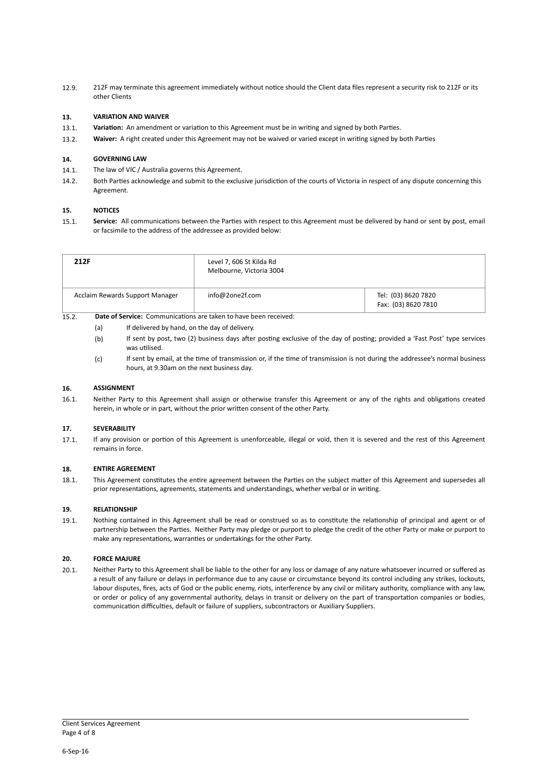12.9. 212F may terminate this agreement immediately without notice should the Client data files represent a security risk to 212F or its other Clients

# **13. VARIATION AND WAIVER**

- 13.1. **Variation:** An amendment or variation to this Agreement must be in writing and signed by both Parties.
- 13.2. **Waiver:** A right created under this Agreement may not be waived or varied except in writing signed by both Parties

### **14. GOVERNING LAW**

- 14.1. The law of VIC / Australia governs this Agreement.
- 14.2. Both Parties acknowledge and submit to the exclusive jurisdiction of the courts of Victoria in respect of any dispute concerning this Agreement.

### **15. NOTICES**

15.1. Service: All communications between the Parties with respect to this Agreement must be delivered by hand or sent by post, email or facsimile to the address of the addressee as provided below:

| 212F                            | Level 7, 606 St Kilda Rd<br>Melbourne, Victoria 3004 |                                            |
|---------------------------------|------------------------------------------------------|--------------------------------------------|
| Acclaim Rewards Support Manager | info@2one2f.com                                      | Tel: (03) 8620 7820<br>Fax: (03) 8620 7810 |

# 15.2. **Date of Service:** Communications are taken to have been received:

- (a) If delivered by hand, on the day of delivery.
- (b) If sent by post, two (2) business days after posting exclusive of the day of posting; provided a 'Fast Post' type services was utilised.
- (c) If sent by email, at the time of transmission or, if the time of transmission is not during the addressee's normal business hours, at 9.30am on the next business day.

# **16. ASSIGNMENT**

16.1. Neither Party to this Agreement shall assign or otherwise transfer this Agreement or any of the rights and obligations created herein, in whole or in part, without the prior written consent of the other Party.

#### **17. SEVERABILITY**

17.1. If any provision or portion of this Agreement is unenforceable, illegal or void, then it is severed and the rest of this Agreement remains in force.

#### **18. ENTIRE AGREEMENT**

18.1. This Agreement constitutes the entire agreement between the Parties on the subject matter of this Agreement and supersedes all prior representations, agreements, statements and understandings, whether verbal or in writing.

#### **19. RELATIONSHIP**

19.1. Nothing contained in this Agreement shall be read or construed so as to constitute the relationship of principal and agent or of partnership between the Parties. Neither Party may pledge or purport to pledge the credit of the other Party or make or purport to make any representations, warranties or undertakings for the other Party.

#### **20. FORCE MAJURE**

20.1. Neither Party to this Agreement shall be liable to the other for any loss or damage of any nature whatsoever incurred or suffered as a result of any failure or delays in performance due to any cause or circumstance beyond its control including any strikes, lockouts, labour disputes, fires, acts of God or the public enemy, riots, interference by any civil or military authority, compliance with any law, or order or policy of any governmental authority, delays in transit or delivery on the part of transportation companies or bodies, communication difficulties, default or failure of suppliers, subcontractors or Auxiliary Suppliers.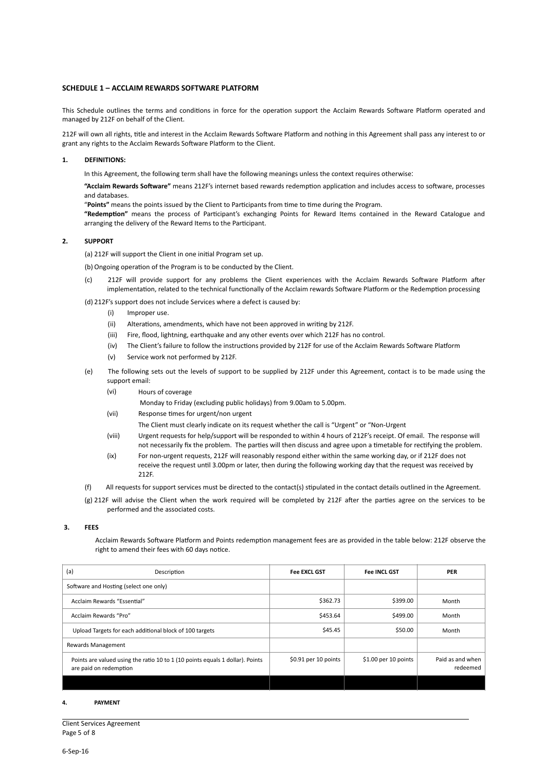#### **SCHEDULE 1 – ACCLAIM REWARDS SOFTWARE PLATFORM**

This Schedule outlines the terms and conditions in force for the operation support the Acclaim Rewards Software Platform operated and managed by 212F on behalf of the Client.

212F will own all rights, title and interest in the Acclaim Rewards Software Platform and nothing in this Agreement shall pass any interest to or grant any rights to the Acclaim Rewards Software Platform to the Client.

#### **1. DEFINITIONS:**

In this Agreement, the following term shall have the following meanings unless the context requires otherwise:

"Acclaim Rewards Software" means 212F's internet based rewards redemption application and includes access to software, processes and databases.

"Points" means the points issued by the Client to Participants from time to time during the Program.

"Redemption" means the process of Participant's exchanging Points for Reward Items contained in the Reward Catalogue and arranging the delivery of the Reward Items to the Participant.

#### **2. SUPPORT**

(a) 212F will support the Client in one initial Program set up.

(b) Ongoing operation of the Program is to be conducted by the Client.

212F will provide support for any problems the Client experiences with the Acclaim Rewards Software Platform after implementation, related to the technical functionally of the Acclaim rewards Software Platform or the Redemption processing

#### (d) 212F's support does not include Services where a defect is caused by:

- (i) Improper use.
- (ii) Alterations, amendments, which have not been approved in writing by 212F.
- (iii) Fire, flood, lightning, earthquake and any other events over which 212F has no control.
- (iv) The Client's failure to follow the instructions provided by 212F for use of the Acclaim Rewards Software Platform
- (v) Service work not performed by 212F.
- (e) The following sets out the levels of support to be supplied by 212F under this Agreement, contact is to be made using the support email:
	- (vi) Hours of coverage
		- Monday to Friday (excluding public holidays) from 9.00am to 5.00pm.
	- (vii) Response times for urgent/non urgent
		- The Client must clearly indicate on its request whether the call is "Urgent" or "Non-Urgent
	- (viii) Urgent requests for help/support will be responded to within 4 hours of 212F's receipt. Of email. The response will not necessarily fix the problem. The parties will then discuss and agree upon a timetable for rectifying the problem.
	- (ix) For non-urgent requests, 212F will reasonably respond either within the same working day, or if 212F does not receive the request until 3.00pm or later, then during the following working day that the request was received by 212F.
- (f) All requests for support services must be directed to the contact(s) stipulated in the contact details outlined in the Agreement.
- $(g)$  212F will advise the Client when the work required will be completed by 212F after the parties agree on the services to be performed and the associated costs.

#### **3. FEES**

Acclaim Rewards Software Platform and Points redemption management fees are as provided in the table below: 212F observe the right to amend their fees with 60 days notice.

| (a)<br>Description                                                                                      | <b>Fee EXCL GST</b>   | <b>Fee INCL GST</b>   | <b>PER</b>                   |
|---------------------------------------------------------------------------------------------------------|-----------------------|-----------------------|------------------------------|
| Software and Hosting (select one only)                                                                  |                       |                       |                              |
| Acclaim Rewards "Essential"                                                                             | \$362.73              | \$399.00              | Month                        |
| Acclaim Rewards "Pro"                                                                                   | \$453.64              | \$499.00              | Month                        |
| Upload Targets for each additional block of 100 targets                                                 | \$45.45               | \$50.00               | Month                        |
| Rewards Management                                                                                      |                       |                       |                              |
| Points are valued using the ratio 10 to 1 (10 points equals 1 dollar). Points<br>are paid on redemption | $$0.91$ per 10 points | $$1.00$ per 10 points | Paid as and when<br>redeemed |
|                                                                                                         |                       |                       |                              |

#### **4. PAYMENT**

| <b>Client Services Agreement</b> |
|----------------------------------|
| Page 5 of 8                      |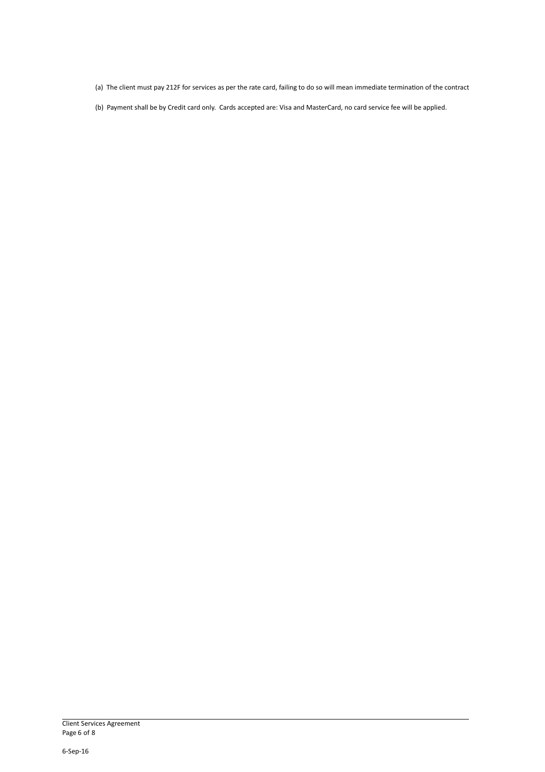(a) The client must pay 212F for services as per the rate card, failing to do so will mean immediate termination of the contract

(b) Payment shall be by Credit card only. Cards accepted are: Visa and MasterCard, no card service fee will be applied.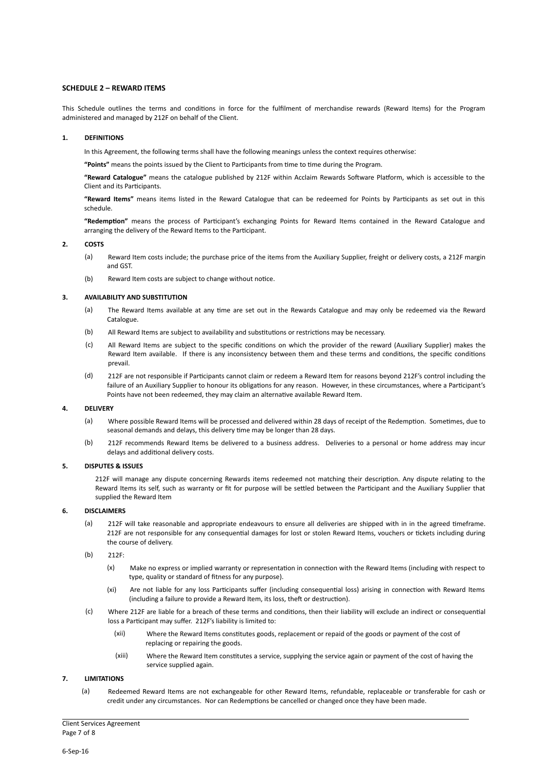#### **SCHEDULE 2 – REWARD ITEMS**

This Schedule outlines the terms and conditions in force for the fulfilment of merchandise rewards (Reward Items) for the Program administered and managed by 212F on behalf of the Client.

#### **1. DEFINITIONS**

In this Agreement, the following terms shall have the following meanings unless the context requires otherwise:

"Points" means the points issued by the Client to Participants from time to time during the Program.

"Reward Catalogue" means the catalogue published by 212F within Acclaim Rewards Software Platform, which is accessible to the Client and its Participants.

"Reward Items" means items listed in the Reward Catalogue that can be redeemed for Points by Participants as set out in this schedule.

"Redemption" means the process of Participant's exchanging Points for Reward Items contained in the Reward Catalogue and arranging the delivery of the Reward Items to the Participant.

#### **2. COSTS**

- (a) Reward Item costs include; the purchase price of the items from the Auxiliary Supplier, freight or delivery costs, a 212F margin and GST.
- $(b)$  Reward Item costs are subject to change without notice.

### **3. AVAILABILITY AND SUBSTITUTION**

- (a) The Reward Items available at any time are set out in the Rewards Catalogue and may only be redeemed via the Reward Catalogue.
- (b) All Reward Items are subject to availability and substitutions or restrictions may be necessary.
- (c) All Reward Items are subject to the specific conditions on which the provider of the reward (Auxiliary Supplier) makes the Reward Item available. If there is any inconsistency between them and these terms and conditions, the specific conditions prevail.
- (d) 212F are not responsible if Participants cannot claim or redeem a Reward Item for reasons beyond 212F's control including the failure of an Auxiliary Supplier to honour its obligations for any reason. However, in these circumstances, where a Participant's Points have not been redeemed, they may claim an alternative available Reward Item.

#### **4. DELIVERY**

- (a) Where possible Reward Items will be processed and delivered within 28 days of receipt of the Redemption. Sometimes, due to seasonal demands and delays, this delivery time may be longer than 28 days.
- (b) 212F recommends Reward Items be delivered to a business address. Deliveries to a personal or home address may incur delays and additional delivery costs.

### **5. DISPUTES & ISSUES**

212F will manage any dispute concerning Rewards items redeemed not matching their description. Any dispute relating to the Reward Items its self, such as warranty or fit for purpose will be settled between the Participant and the Auxiliary Supplier that supplied the Reward Item

#### **6. DISCLAIMERS**

- (a) 212F will take reasonable and appropriate endeavours to ensure all deliveries are shipped with in in the agreed timeframe. 212F are not responsible for any consequential damages for lost or stolen Reward Items, vouchers or tickets including during the course of delivery.
- (b) 212F:
	- (x) Make no express or implied warranty or representation in connection with the Reward Items (including with respect to type, quality or standard of fitness for any purpose).
	- (xi) Are not liable for any loss Participants suffer (including consequential loss) arising in connection with Reward Items (including a failure to provide a Reward Item, its loss, theft or destruction).
- (c) Where 212F are liable for a breach of these terms and conditions, then their liability will exclude an indirect or consequential loss a Participant may suffer. 212F's liability is limited to:
	- (xii) Where the Reward Items constitutes goods, replacement or repaid of the goods or payment of the cost of replacing or repairing the goods.
	- (xiii) Where the Reward Item constitutes a service, supplying the service again or payment of the cost of having the service supplied again.

### **7. LIMITATIONS**

(a) Redeemed Reward Items are not exchangeable for other Reward Items, refundable, replaceable or transferable for cash or credit under any circumstances. Nor can Redemptions be cancelled or changed once they have been made.